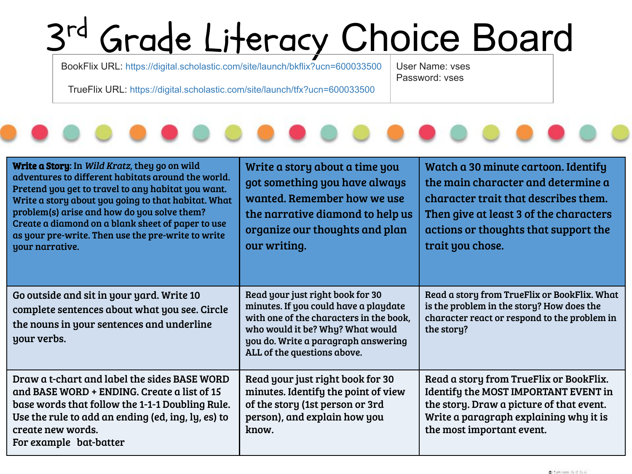## $2rd$ Grade Literacy Choice Board

BookFlix URL: <https://digital.scholastic.com/site/launch/bkflix?ucn=600033500>

User Name: vses Password: vses

TrueFlix URL: <https://digital.scholastic.com/site/launch/tfx?ucn=600033500>



| Write a Story: In Wild Kratz, they go on wild<br>adventures to different habitats around the world.<br>Pretend you get to travel to any habitat you want.<br>Write a story about you going to that habitat. What<br>problem(s) arise and how do you solve them?<br>Create a diamond on a blank sheet of paper to use<br>as your pre-write. Then use the pre-write to write<br>your narrative. | Write a story about a time you<br>got something you have always<br>wanted. Remember how we use<br>the narrative diamond to help us<br>organize our thoughts and plan<br>our writing.                                           | Watch a 30 minute cartoon. Identify<br>the main character and determine a<br>character trait that describes them.<br>Then give at least 3 of the characters<br>actions or thoughts that support the<br>trait you chose. |
|-----------------------------------------------------------------------------------------------------------------------------------------------------------------------------------------------------------------------------------------------------------------------------------------------------------------------------------------------------------------------------------------------|--------------------------------------------------------------------------------------------------------------------------------------------------------------------------------------------------------------------------------|-------------------------------------------------------------------------------------------------------------------------------------------------------------------------------------------------------------------------|
| Go outside and sit in your yard. Write 10<br>complete sentences about what you see. Circle<br>the nouns in your sentences and underline<br>your verbs.                                                                                                                                                                                                                                        | Read your just right book for 30<br>minutes. If you could have a playdate<br>with one of the characters in the book,<br>who would it be? Why? What would<br>you do. Write a paragraph answering<br>ALL of the questions above. | Read a story from TrueFlix or BookFlix. What<br>is the problem in the story? How does the<br>character react or respond to the problem in<br>the story?                                                                 |
| Draw a t-chart and label the sides BASE WORD<br>and BASE WORD + ENDING. Create a list of 15<br>base words that follow the 1-1-1 Doubling Rule.<br>Use the rule to add an ending (ed, ing, ly, es) to<br>create new words.<br>For example bat-batter                                                                                                                                           | Read your just right book for 30<br>minutes. Identify the point of view<br>of the story (1st person or 3rd<br>person), and explain how you<br>know.                                                                            | Read a story from TrueFlix or BookFlix.<br><b>Identify the MOST IMPORTANT EVENT in</b><br>the story. Draw a picture of that event.<br>Write a paragraph explaining why it is<br>the most important event.               |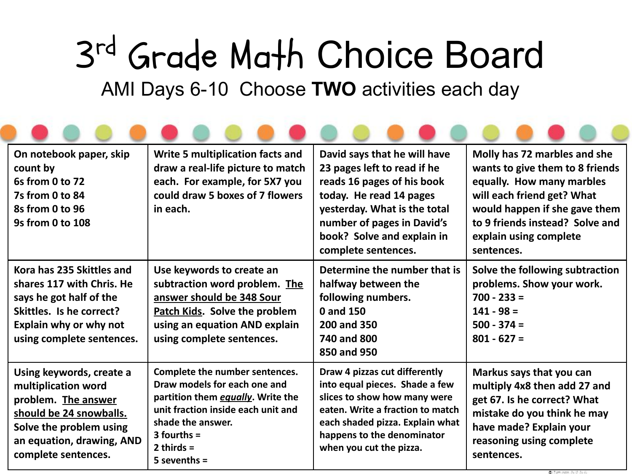## 3 rd Grade Math Choice Board AMI Days 6-10 Choose **TWO** activities each day

| On notebook paper, skip<br>count by<br>6s from 0 to 72<br><b>7s from 0 to 84</b><br>8s from 0 to 96<br>9s from 0 to 108                                                          | Write 5 multiplication facts and<br>draw a real-life picture to match<br>each. For example, for 5X7 you<br>could draw 5 boxes of 7 flowers<br>in each.                                                            | David says that he will have<br>23 pages left to read if he<br>reads 16 pages of his book<br>today. He read 14 pages<br>yesterday. What is the total<br>number of pages in David's<br>book? Solve and explain in<br>complete sentences. | Molly has 72 marbles and she<br>wants to give them to 8 friends<br>equally. How many marbles<br>will each friend get? What<br>would happen if she gave them<br>to 9 friends instead? Solve and<br>explain using complete<br>sentences. |
|----------------------------------------------------------------------------------------------------------------------------------------------------------------------------------|-------------------------------------------------------------------------------------------------------------------------------------------------------------------------------------------------------------------|-----------------------------------------------------------------------------------------------------------------------------------------------------------------------------------------------------------------------------------------|----------------------------------------------------------------------------------------------------------------------------------------------------------------------------------------------------------------------------------------|
| Kora has 235 Skittles and<br>shares 117 with Chris. He<br>says he got half of the<br>Skittles. Is he correct?<br>Explain why or why not<br>using complete sentences.             | Use keywords to create an<br>subtraction word problem. The<br>answer should be 348 Sour<br><b>Patch Kids. Solve the problem</b><br>using an equation AND explain<br>using complete sentences.                     | Determine the number that is<br>halfway between the<br>following numbers.<br>0 and 150<br>200 and 350<br>740 and 800<br>850 and 950                                                                                                     | Solve the following subtraction<br>problems. Show your work.<br>$700 - 233 =$<br>$141 - 98 =$<br>$500 - 374 =$<br>$801 - 627 =$                                                                                                        |
| Using keywords, create a<br>multiplication word<br>problem. The answer<br>should be 24 snowballs.<br>Solve the problem using<br>an equation, drawing, AND<br>complete sentences. | Complete the number sentences.<br>Draw models for each one and<br>partition them equally. Write the<br>unit fraction inside each unit and<br>shade the answer.<br>$3$ fourths =<br>2 thirds $=$<br>$5$ sevenths = | Draw 4 pizzas cut differently<br>into equal pieces. Shade a few<br>slices to show how many were<br>eaten. Write a fraction to match<br>each shaded pizza. Explain what<br>happens to the denominator<br>when you cut the pizza.         | Markus says that you can<br>multiply 4x8 then add 27 and<br>get 67. Is he correct? What<br>mistake do you think he may<br>have made? Explain your<br>reasoning using complete<br>sentences.                                            |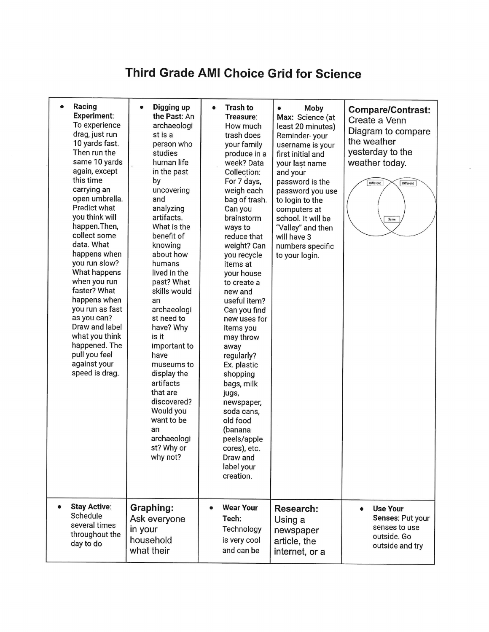## **Third Grade AMI Choice Grid for Science**

| Racing<br>$\bullet$<br><b>Experiment:</b><br>To experience<br>drag, just run<br>10 yards fast.<br>Then run the<br>same 10 yards<br>again, except<br>this time<br>carrying an<br>open umbrella.<br>Predict what<br>you think will<br>happen. Then,<br>collect some<br>data. What<br>happens when<br>you run slow?<br>What happens<br>when you run<br>faster? What<br>happens when<br>you run as fast<br>as you can?<br>Draw and label<br>what you think<br>happened. The<br>pull you feel<br>against your<br>speed is drag. | Digging up<br>$\bullet$<br>the Past: An<br>archaeologi<br>st is a<br>person who<br>studies<br>human life<br>in the past<br>by<br>uncovering<br>and<br>analyzing<br>artifacts.<br>What is the<br>benefit of<br>knowing<br>about how<br>humans<br>lived in the<br>past? What<br>skills would<br>an<br>archaeologi<br>st need to<br>have? Why<br>is it<br>important to<br>have<br>museums to<br>display the<br>artifacts<br>that are<br>discovered?<br>Would you<br>want to be<br>an<br>archaeologi<br>st? Why or<br>why not? | <b>Trash to</b><br>$\bullet$<br>Treasure:<br>How much<br>trash does<br>your family<br>produce in a<br>week? Data<br>Collection:<br>For 7 days,<br>weigh each<br>bag of trash.<br>Can you<br>brainstorm<br>ways to<br>reduce that<br>weight? Can<br>you recycle<br>items at<br>your house<br>to create a<br>new and<br>useful item?<br>Can you find<br>new uses for<br>items you<br>may throw<br>away<br>regularly?<br>Ex. plastic<br>shopping<br>bags, milk<br>jugs,<br>newspaper,<br>soda cans,<br>old food<br>(banana<br>peels/apple<br>cores), etc.<br>Draw and<br>label your<br>creation. | Moby<br>۰<br>Max: Science (at<br>least 20 minutes)<br>Reminder-your<br>username is your<br>first initial and<br>your last name<br>and your<br>password is the<br>password you use<br>to login to the<br>computers at<br>school. It will be<br>"Valley" and then<br>will have 3<br>numbers specific<br>to your login. | <b>Compare/Contrast:</b><br>Create a Venn<br>Diagram to compare<br>the weather<br>yesterday to the<br>weather today.<br>Different<br>Different<br>Same |
|----------------------------------------------------------------------------------------------------------------------------------------------------------------------------------------------------------------------------------------------------------------------------------------------------------------------------------------------------------------------------------------------------------------------------------------------------------------------------------------------------------------------------|----------------------------------------------------------------------------------------------------------------------------------------------------------------------------------------------------------------------------------------------------------------------------------------------------------------------------------------------------------------------------------------------------------------------------------------------------------------------------------------------------------------------------|-----------------------------------------------------------------------------------------------------------------------------------------------------------------------------------------------------------------------------------------------------------------------------------------------------------------------------------------------------------------------------------------------------------------------------------------------------------------------------------------------------------------------------------------------------------------------------------------------|----------------------------------------------------------------------------------------------------------------------------------------------------------------------------------------------------------------------------------------------------------------------------------------------------------------------|--------------------------------------------------------------------------------------------------------------------------------------------------------|
| <b>Stay Active:</b><br>Schedule<br>several times<br>throughout the<br>day to do                                                                                                                                                                                                                                                                                                                                                                                                                                            | Graphing:<br>Ask everyone<br>in your<br>household<br>what their                                                                                                                                                                                                                                                                                                                                                                                                                                                            | <b>Wear Your</b><br>$\bullet$<br>Tech:<br>Technology<br>is very cool<br>and can be                                                                                                                                                                                                                                                                                                                                                                                                                                                                                                            | Research:<br>Using a<br>newspaper<br>article, the<br>internet, or a                                                                                                                                                                                                                                                  | <b>Use Your</b><br>$\bullet$<br>Senses: Put your<br>senses to use<br>outside. Go<br>outside and try                                                    |